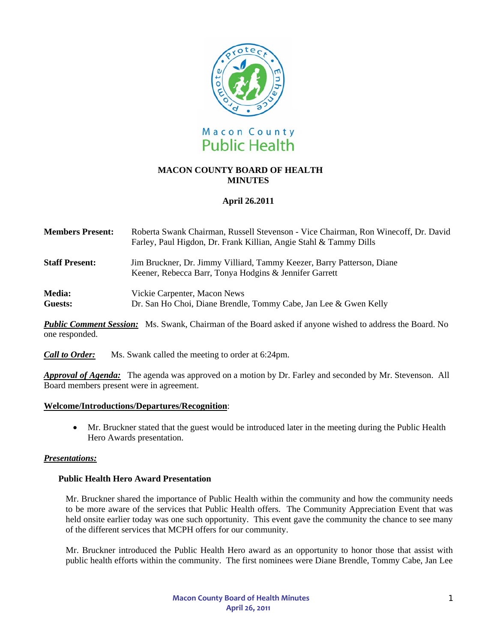

## **MACON COUNTY BOARD OF HEALTH MINUTES**

# **April 26.2011**

| <b>Members Present:</b>  | Roberta Swank Chairman, Russell Stevenson - Vice Chairman, Ron Winecoff, Dr. David<br>Farley, Paul Higdon, Dr. Frank Killian, Angie Stahl & Tammy Dills |
|--------------------------|---------------------------------------------------------------------------------------------------------------------------------------------------------|
| <b>Staff Present:</b>    | Jim Bruckner, Dr. Jimmy Villiard, Tammy Keezer, Barry Patterson, Diane<br>Keener, Rebecca Barr, Tonya Hodgins & Jennifer Garrett                        |
| <b>Media:</b><br>Guests: | Vickie Carpenter, Macon News<br>Dr. San Ho Choi, Diane Brendle, Tommy Cabe, Jan Lee & Gwen Kelly                                                        |

*Public Comment Session:* Ms. Swank, Chairman of the Board asked if anyone wished to address the Board. No one responded.

*Call to Order:*Ms. Swank called the meeting to order at 6:24pm.

*Approval of Agenda:* The agenda was approved on a motion by Dr. Farley and seconded by Mr. Stevenson. All Board members present were in agreement.

### **Welcome/Introductions/Departures/Recognition**:

• Mr. Bruckner stated that the guest would be introduced later in the meeting during the Public Health Hero Awards presentation.

### *Presentations:*

### **Public Health Hero Award Presentation**

Mr. Bruckner shared the importance of Public Health within the community and how the community needs to be more aware of the services that Public Health offers. The Community Appreciation Event that was held onsite earlier today was one such opportunity. This event gave the community the chance to see many of the different services that MCPH offers for our community.

Mr. Bruckner introduced the Public Health Hero award as an opportunity to honor those that assist with public health efforts within the community. The first nominees were Diane Brendle, Tommy Cabe, Jan Lee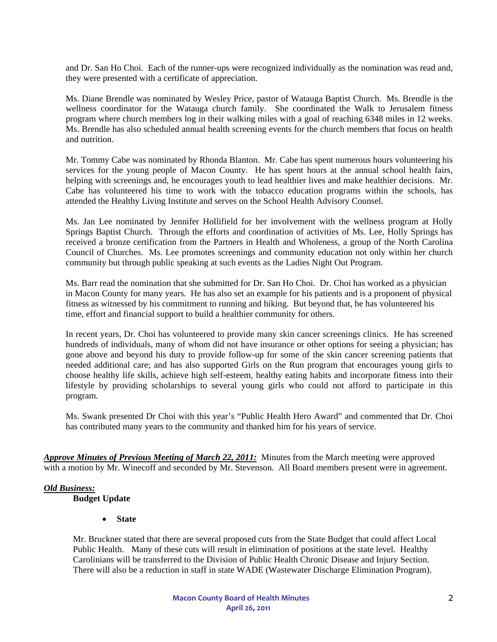and Dr. San Ho Choi. Each of the runner-ups were recognized individually as the nomination was read and, they were presented with a certificate of appreciation.

Ms. Diane Brendle was nominated by Wesley Price, pastor of Watauga Baptist Church. Ms. Brendle is the wellness coordinator for the Watauga church family. She coordinated the Walk to Jerusalem fitness program where church members log in their walking miles with a goal of reaching 6348 miles in 12 weeks. Ms. Brendle has also scheduled annual health screening events for the church members that focus on health and nutrition.

Mr. Tommy Cabe was nominated by Rhonda Blanton. Mr. Cabe has spent numerous hours volunteering his services for the young people of Macon County. He has spent hours at the annual school health fairs, helping with screenings and, he encourages youth to lead healthier lives and make healthier decisions. Mr. Cabe has volunteered his time to work with the tobacco education programs within the schools, has attended the Healthy Living Institute and serves on the School Health Advisory Counsel.

Ms. Jan Lee nominated by Jennifer Hollifield for her involvement with the wellness program at Holly Springs Baptist Church. Through the efforts and coordination of activities of Ms. Lee, Holly Springs has received a bronze certification from the Partners in Health and Wholeness, a group of the North Carolina Council of Churches. Ms. Lee promotes screenings and community education not only within her church community but through public speaking at such events as the Ladies Night Out Program.

Ms. Barr read the nomination that she submitted for Dr. San Ho Choi. Dr. Choi has worked as a physician in Macon County for many years. He has also set an example for his patients and is a proponent of physical fitness as witnessed by his commitment to running and hiking. But beyond that, he has volunteered his time, effort and financial support to build a healthier community for others.

In recent years, Dr. Choi has volunteered to provide many skin cancer screenings clinics. He has screened hundreds of individuals, many of whom did not have insurance or other options for seeing a physician; has gone above and beyond his duty to provide follow-up for some of the skin cancer screening patients that needed additional care; and has also supported Girls on the Run program that encourages young girls to choose healthy life skills, achieve high self-esteem, healthy eating habits and incorporate fitness into their lifestyle by providing scholarships to several young girls who could not afford to participate in this program.

Ms. Swank presented Dr Choi with this year's "Public Health Hero Award" and commented that Dr. Choi has contributed many years to the community and thanked him for his years of service.

*Approve Minutes of Previous Meeting of March 22, 2011:* Minutes from the March meeting were approved with a motion by Mr. Winecoff and seconded by Mr. Stevenson. All Board members present were in agreement.

## *Old Business:*

**Budget Update** 

• **State** 

Mr. Bruckner stated that there are several proposed cuts from the State Budget that could affect Local Public Health. Many of these cuts will result in elimination of positions at the state level. Healthy Carolinians will be transferred to the Division of Public Health Chronic Disease and Injury Section. There will also be a reduction in staff in state WADE (Wastewater Discharge Elimination Program).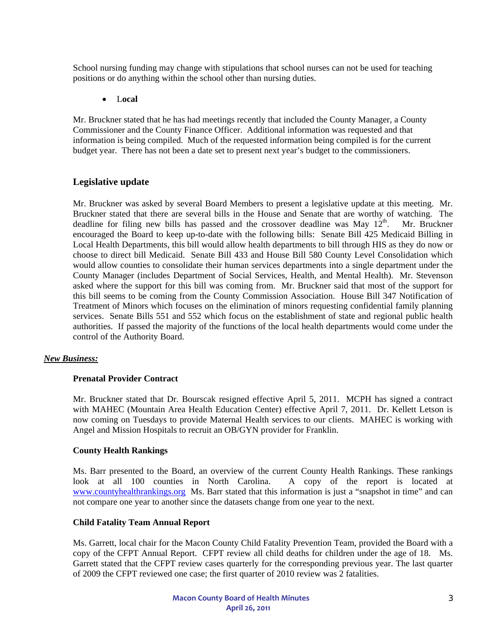School nursing funding may change with stipulations that school nurses can not be used for teaching positions or do anything within the school other than nursing duties.

#### • L**ocal**

Mr. Bruckner stated that he has had meetings recently that included the County Manager, a County Commissioner and the County Finance Officer. Additional information was requested and that information is being compiled. Much of the requested information being compiled is for the current budget year. There has not been a date set to present next year's budget to the commissioners.

## **Legislative update**

Mr. Bruckner was asked by several Board Members to present a legislative update at this meeting. Mr. Bruckner stated that there are several bills in the House and Senate that are worthy of watching. The deadline for filing new bills has passed and the crossover deadline was May  $12<sup>th</sup>$ . Mr. Bruckner encouraged the Board to keep up-to-date with the following bills: Senate Bill 425 Medicaid Billing in Local Health Departments, this bill would allow health departments to bill through HIS as they do now or choose to direct bill Medicaid. Senate Bill 433 and House Bill 580 County Level Consolidation which would allow counties to consolidate their human services departments into a single department under the County Manager (includes Department of Social Services, Health, and Mental Health). Mr. Stevenson asked where the support for this bill was coming from. Mr. Bruckner said that most of the support for this bill seems to be coming from the County Commission Association. House Bill 347 Notification of Treatment of Minors which focuses on the elimination of minors requesting confidential family planning services. Senate Bills 551 and 552 which focus on the establishment of state and regional public health authorities. If passed the majority of the functions of the local health departments would come under the control of the Authority Board.

### *New Business:*

#### **Prenatal Provider Contract**

Mr. Bruckner stated that Dr. Bourscak resigned effective April 5, 2011. MCPH has signed a contract with MAHEC (Mountain Area Health Education Center) effective April 7, 2011. Dr. Kellett Letson is now coming on Tuesdays to provide Maternal Health services to our clients. MAHEC is working with Angel and Mission Hospitals to recruit an OB/GYN provider for Franklin.

#### **County Health Rankings**

Ms. Barr presented to the Board, an overview of the current County Health Rankings. These rankings look at all 100 counties in North Carolina. A copy of the report is located at [www.countyhealthrankings.org](http://www.countyhealthrankings.org/) Ms. Barr stated that this information is just a "snapshot in time" and can not compare one year to another since the datasets change from one year to the next.

#### **Child Fatality Team Annual Report**

Ms. Garrett, local chair for the Macon County Child Fatality Prevention Team, provided the Board with a copy of the CFPT Annual Report. CFPT review all child deaths for children under the age of 18. Ms. Garrett stated that the CFPT review cases quarterly for the corresponding previous year. The last quarter of 2009 the CFPT reviewed one case; the first quarter of 2010 review was 2 fatalities.